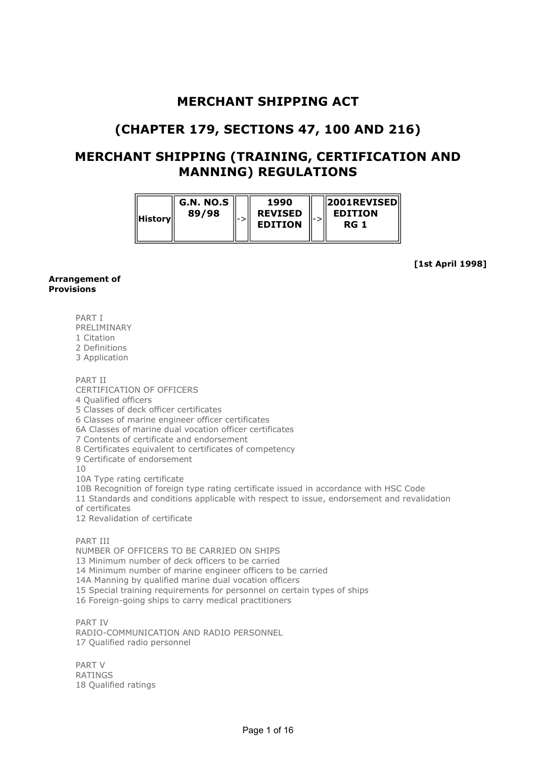## MERCHANT SHIPPING ACT

# (CHAPTER 179, SECTIONS 47, 100 AND 216)

## MERCHANT SHIPPING (TRAINING, CERTIFICATION AND MANNING) REGULATIONS

| G.N. NO.S<br>89/98<br>History | l-> | 1990<br><b>REVISED</b><br><b>EDITION</b> |  | $\parallel$ 2001REVISED $\parallel$<br><b>EDITION</b><br>RG 1 |
|-------------------------------|-----|------------------------------------------|--|---------------------------------------------------------------|
|-------------------------------|-----|------------------------------------------|--|---------------------------------------------------------------|

[1st April 1998]

#### Arrangement of Provisions

PART I

PRELIMINARY

1 Citation

2 Definitions

3 Application

PART II

CERTIFICATION OF OFFICERS

4 Qualified officers

5 Classes of deck officer certificates

6 Classes of marine engineer officer certificates

6A Classes of marine dual vocation officer certificates

7 Contents of certificate and endorsement

8 Certificates equivalent to certificates of competency

9 Certificate of endorsement

10

10A Type rating certificate

10B Recognition of foreign type rating certificate issued in accordance with HSC Code

11 Standards and conditions applicable with respect to issue, endorsement and revalidation

of certificates

12 Revalidation of certificate

PART III

NUMBER OF OFFICERS TO BE CARRIED ON SHIPS

13 Minimum number of deck officers to be carried

14 Minimum number of marine engineer officers to be carried

14A Manning by qualified marine dual vocation officers

15 Special training requirements for personnel on certain types of ships

16 Foreign-going ships to carry medical practitioners

PART IV RADIO-COMMUNICATION AND RADIO PERSONNEL 17 Qualified radio personnel

PART V RATINGS 18 Qualified ratings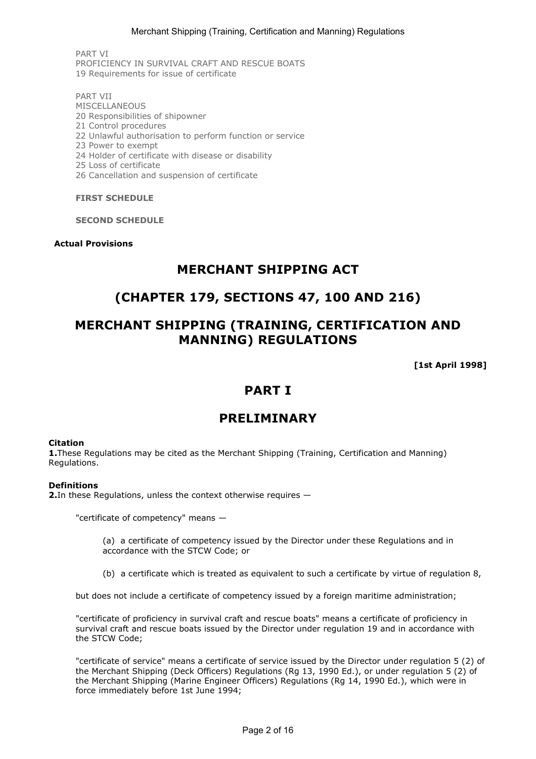PART VI PROFICIENCY IN SURVIVAL CRAFT AND RESCUE BOATS 19 Requirements for issue of certificate

PART VII **MISCELLANEOUS** 20 Responsibilities of shipowner 21 Control procedures

- 22 Unlawful authorisation to perform function or service
- 23 Power to exempt
- 24 Holder of certificate with disease or disability
- 25 Loss of certificate
- 26 Cancellation and suspension of certificate

#### FIRST SCHEDULE

#### SECOND SCHEDULE

#### Actual Provisions

### MERCHANT SHIPPING ACT

## (CHAPTER 179, SECTIONS 47, 100 AND 216)

# MERCHANT SHIPPING (TRAINING, CERTIFICATION AND MANNING) REGULATIONS

[1st April 1998]

## PART I

### **PRELIMINARY**

#### Citation

1. These Regulations may be cited as the Merchant Shipping (Training, Certification and Manning) Regulations.

#### **Definitions**

2.In these Regulations, unless the context otherwise requires —

"certificate of competency" means —

(a) a certificate of competency issued by the Director under these Regulations and in accordance with the STCW Code; or

(b) a certificate which is treated as equivalent to such a certificate by virtue of regulation 8,

but does not include a certificate of competency issued by a foreign maritime administration;

"certificate of proficiency in survival craft and rescue boats" means a certificate of proficiency in survival craft and rescue boats issued by the Director under regulation 19 and in accordance with the STCW Code;

"certificate of service" means a certificate of service issued by the Director under regulation 5 (2) of the Merchant Shipping (Deck Officers) Regulations (Rg 13, 1990 Ed.), or under regulation 5 (2) of the Merchant Shipping (Marine Engineer Officers) Regulations (Rg 14, 1990 Ed.), which were in force immediately before 1st June 1994;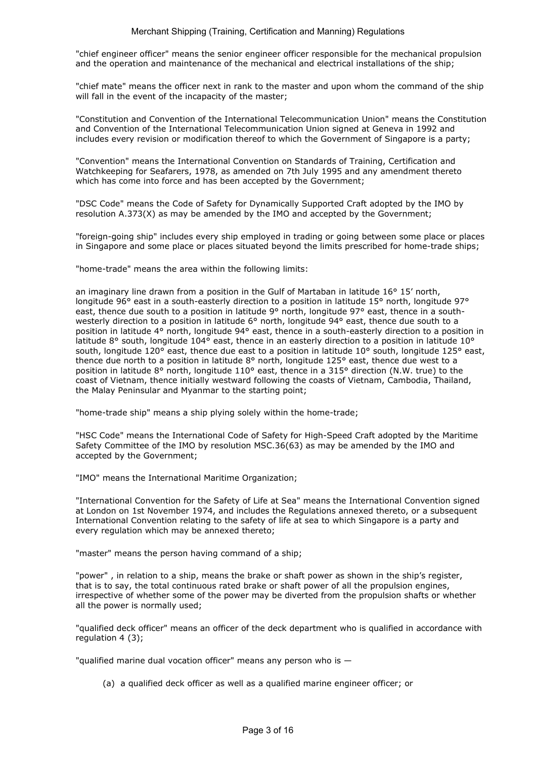"chief engineer officer" means the senior engineer officer responsible for the mechanical propulsion and the operation and maintenance of the mechanical and electrical installations of the ship;

"chief mate" means the officer next in rank to the master and upon whom the command of the ship will fall in the event of the incapacity of the master:

"Constitution and Convention of the International Telecommunication Union" means the Constitution and Convention of the International Telecommunication Union signed at Geneva in 1992 and includes every revision or modification thereof to which the Government of Singapore is a party;

"Convention" means the International Convention on Standards of Training, Certification and Watchkeeping for Seafarers, 1978, as amended on 7th July 1995 and any amendment thereto which has come into force and has been accepted by the Government;

"DSC Code" means the Code of Safety for Dynamically Supported Craft adopted by the IMO by resolution A.373(X) as may be amended by the IMO and accepted by the Government;

"foreign-going ship" includes every ship employed in trading or going between some place or places in Singapore and some place or places situated beyond the limits prescribed for home-trade ships;

"home-trade" means the area within the following limits:

an imaginary line drawn from a position in the Gulf of Martaban in latitude 16° 15' north, longitude 96° east in a south-easterly direction to a position in latitude 15° north, longitude 97° east, thence due south to a position in latitude 9° north, longitude 97° east, thence in a southwesterly direction to a position in latitude 6° north, longitude 94° east, thence due south to a position in latitude 4° north, longitude 94° east, thence in a south-easterly direction to a position in latitude 8° south, longitude 104° east, thence in an easterly direction to a position in latitude 10° south, longitude 120° east, thence due east to a position in latitude 10° south, longitude 125° east, thence due north to a position in latitude 8° north, longitude 125° east, thence due west to a position in latitude 8° north, longitude 110° east, thence in a 315° direction (N.W. true) to the coast of Vietnam, thence initially westward following the coasts of Vietnam, Cambodia, Thailand, the Malay Peninsular and Myanmar to the starting point;

"home-trade ship" means a ship plying solely within the home-trade;

"HSC Code" means the International Code of Safety for High-Speed Craft adopted by the Maritime Safety Committee of the IMO by resolution MSC.36(63) as may be amended by the IMO and accepted by the Government;

"IMO" means the International Maritime Organization;

"International Convention for the Safety of Life at Sea" means the International Convention signed at London on 1st November 1974, and includes the Regulations annexed thereto, or a subsequent International Convention relating to the safety of life at sea to which Singapore is a party and every regulation which may be annexed thereto;

"master" means the person having command of a ship;

"power" , in relation to a ship, means the brake or shaft power as shown in the ship's register, that is to say, the total continuous rated brake or shaft power of all the propulsion engines, irrespective of whether some of the power may be diverted from the propulsion shafts or whether all the power is normally used;

"qualified deck officer" means an officer of the deck department who is qualified in accordance with regulation 4 (3);

"qualified marine dual vocation officer" means any person who is  $-$ 

(a) a qualified deck officer as well as a qualified marine engineer officer; or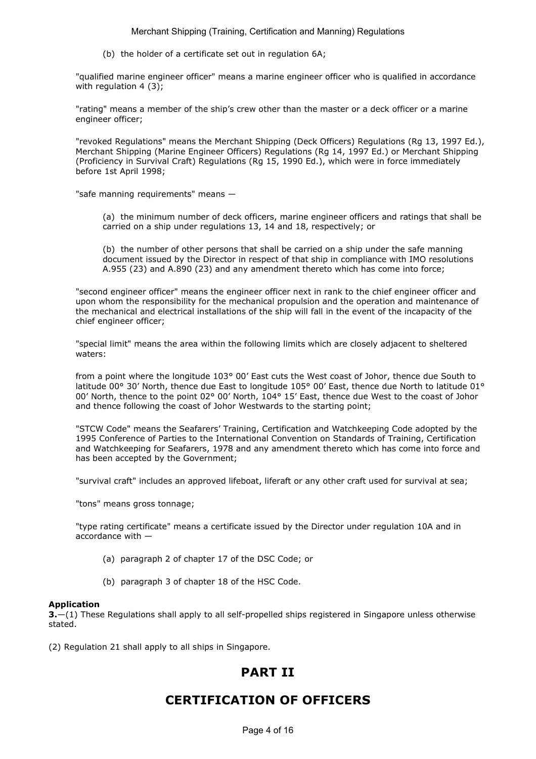Merchant Shipping (Training, Certification and Manning) Regulations

(b) the holder of a certificate set out in regulation 6A;

"qualified marine engineer officer" means a marine engineer officer who is qualified in accordance with regulation 4 (3);

"rating" means a member of the ship's crew other than the master or a deck officer or a marine engineer officer;

"revoked Regulations" means the Merchant Shipping (Deck Officers) Regulations (Rg 13, 1997 Ed.), Merchant Shipping (Marine Engineer Officers) Regulations (Rg 14, 1997 Ed.) or Merchant Shipping (Proficiency in Survival Craft) Regulations (Rg 15, 1990 Ed.), which were in force immediately before 1st April 1998;

"safe manning requirements" means —

(a) the minimum number of deck officers, marine engineer officers and ratings that shall be carried on a ship under regulations 13, 14 and 18, respectively; or

(b) the number of other persons that shall be carried on a ship under the safe manning document issued by the Director in respect of that ship in compliance with IMO resolutions A.955 (23) and A.890 (23) and any amendment thereto which has come into force;

"second engineer officer" means the engineer officer next in rank to the chief engineer officer and upon whom the responsibility for the mechanical propulsion and the operation and maintenance of the mechanical and electrical installations of the ship will fall in the event of the incapacity of the chief engineer officer;

"special limit" means the area within the following limits which are closely adjacent to sheltered waters:

from a point where the longitude 103° 00' East cuts the West coast of Johor, thence due South to latitude 00° 30' North, thence due East to longitude 105° 00' East, thence due North to latitude 01° 00' North, thence to the point 02° 00' North, 104° 15' East, thence due West to the coast of Johor and thence following the coast of Johor Westwards to the starting point;

"STCW Code" means the Seafarers' Training, Certification and Watchkeeping Code adopted by the 1995 Conference of Parties to the International Convention on Standards of Training, Certification and Watchkeeping for Seafarers, 1978 and any amendment thereto which has come into force and has been accepted by the Government;

"survival craft" includes an approved lifeboat, liferaft or any other craft used for survival at sea;

"tons" means gross tonnage;

"type rating certificate" means a certificate issued by the Director under regulation 10A and in accordance with —

- (a) paragraph 2 of chapter 17 of the DSC Code; or
- (b) paragraph 3 of chapter 18 of the HSC Code.

#### Application

3.—(1) These Regulations shall apply to all self-propelled ships registered in Singapore unless otherwise stated.

(2) Regulation 21 shall apply to all ships in Singapore.

## PART II

# CERTIFICATION OF OFFICERS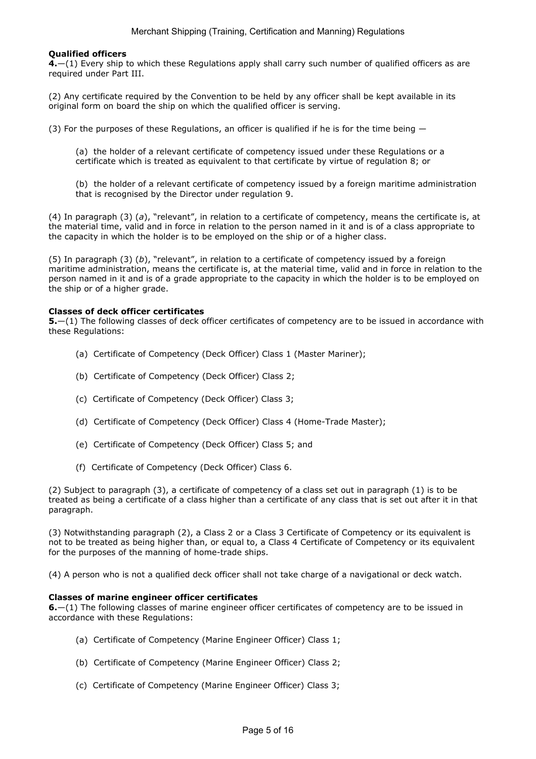### Qualified officers

4.—(1) Every ship to which these Regulations apply shall carry such number of qualified officers as are required under Part III.

(2) Any certificate required by the Convention to be held by any officer shall be kept available in its original form on board the ship on which the qualified officer is serving.

(3) For the purposes of these Regulations, an officer is qualified if he is for the time being  $-$ 

(a) the holder of a relevant certificate of competency issued under these Regulations or a certificate which is treated as equivalent to that certificate by virtue of regulation 8; or

(b) the holder of a relevant certificate of competency issued by a foreign maritime administration that is recognised by the Director under regulation 9.

(4) In paragraph (3) (a), "relevant", in relation to a certificate of competency, means the certificate is, at the material time, valid and in force in relation to the person named in it and is of a class appropriate to the capacity in which the holder is to be employed on the ship or of a higher class.

(5) In paragraph (3)  $(b)$ , "relevant", in relation to a certificate of competency issued by a foreign maritime administration, means the certificate is, at the material time, valid and in force in relation to the person named in it and is of a grade appropriate to the capacity in which the holder is to be employed on the ship or of a higher grade.

#### Classes of deck officer certificates

5.—(1) The following classes of deck officer certificates of competency are to be issued in accordance with these Regulations:

- (a) Certificate of Competency (Deck Officer) Class 1 (Master Mariner);
- (b) Certificate of Competency (Deck Officer) Class 2;
- (c) Certificate of Competency (Deck Officer) Class 3;
- (d) Certificate of Competency (Deck Officer) Class 4 (Home-Trade Master);
- (e) Certificate of Competency (Deck Officer) Class 5; and
- (f) Certificate of Competency (Deck Officer) Class 6.

(2) Subject to paragraph (3), a certificate of competency of a class set out in paragraph (1) is to be treated as being a certificate of a class higher than a certificate of any class that is set out after it in that paragraph.

(3) Notwithstanding paragraph (2), a Class 2 or a Class 3 Certificate of Competency or its equivalent is not to be treated as being higher than, or equal to, a Class 4 Certificate of Competency or its equivalent for the purposes of the manning of home-trade ships.

(4) A person who is not a qualified deck officer shall not take charge of a navigational or deck watch.

#### Classes of marine engineer officer certificates

6.—(1) The following classes of marine engineer officer certificates of competency are to be issued in accordance with these Regulations:

- (a) Certificate of Competency (Marine Engineer Officer) Class 1;
- (b) Certificate of Competency (Marine Engineer Officer) Class 2;
- (c) Certificate of Competency (Marine Engineer Officer) Class 3;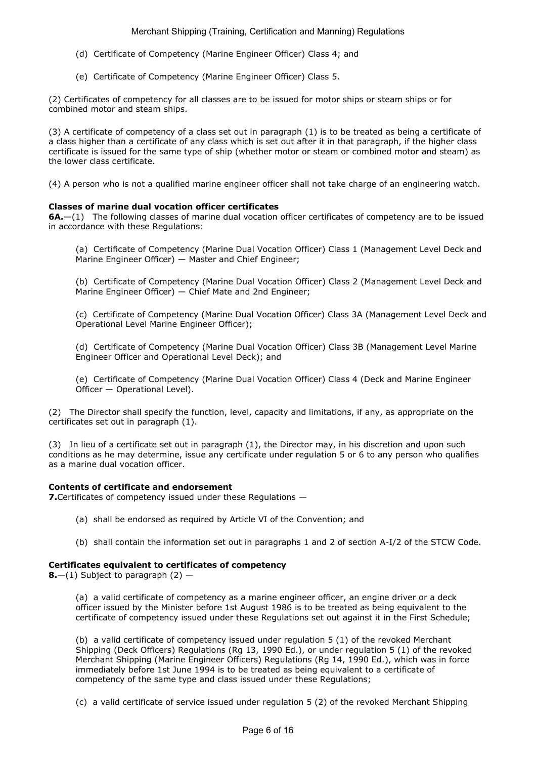- (d) Certificate of Competency (Marine Engineer Officer) Class 4; and
- (e) Certificate of Competency (Marine Engineer Officer) Class 5.

(2) Certificates of competency for all classes are to be issued for motor ships or steam ships or for combined motor and steam ships.

(3) A certificate of competency of a class set out in paragraph (1) is to be treated as being a certificate of a class higher than a certificate of any class which is set out after it in that paragraph, if the higher class certificate is issued for the same type of ship (whether motor or steam or combined motor and steam) as the lower class certificate.

(4) A person who is not a qualified marine engineer officer shall not take charge of an engineering watch.

### Classes of marine dual vocation officer certificates

6A.—(1) The following classes of marine dual vocation officer certificates of competency are to be issued in accordance with these Regulations:

(a) Certificate of Competency (Marine Dual Vocation Officer) Class 1 (Management Level Deck and Marine Engineer Officer) — Master and Chief Engineer;

(b) Certificate of Competency (Marine Dual Vocation Officer) Class 2 (Management Level Deck and Marine Engineer Officer) — Chief Mate and 2nd Engineer;

(c) Certificate of Competency (Marine Dual Vocation Officer) Class 3A (Management Level Deck and Operational Level Marine Engineer Officer);

(d) Certificate of Competency (Marine Dual Vocation Officer) Class 3B (Management Level Marine Engineer Officer and Operational Level Deck); and

(e) Certificate of Competency (Marine Dual Vocation Officer) Class 4 (Deck and Marine Engineer Officer — Operational Level).

(2) The Director shall specify the function, level, capacity and limitations, if any, as appropriate on the certificates set out in paragraph (1).

(3) In lieu of a certificate set out in paragraph (1), the Director may, in his discretion and upon such conditions as he may determine, issue any certificate under regulation 5 or 6 to any person who qualifies as a marine dual vocation officer.

### Contents of certificate and endorsement

7. Certificates of competency issued under these Regulations -

- (a) shall be endorsed as required by Article VI of the Convention; and
- (b) shall contain the information set out in paragraphs 1 and 2 of section A-I/2 of the STCW Code.

### Certificates equivalent to certificates of competency

**8.**—(1) Subject to paragraph  $(2)$  —

(a) a valid certificate of competency as a marine engineer officer, an engine driver or a deck officer issued by the Minister before 1st August 1986 is to be treated as being equivalent to the certificate of competency issued under these Regulations set out against it in the First Schedule;

(b) a valid certificate of competency issued under regulation 5 (1) of the revoked Merchant Shipping (Deck Officers) Regulations (Rg 13, 1990 Ed.), or under regulation 5 (1) of the revoked Merchant Shipping (Marine Engineer Officers) Regulations (Rg 14, 1990 Ed.), which was in force immediately before 1st June 1994 is to be treated as being equivalent to a certificate of competency of the same type and class issued under these Regulations;

(c) a valid certificate of service issued under regulation 5 (2) of the revoked Merchant Shipping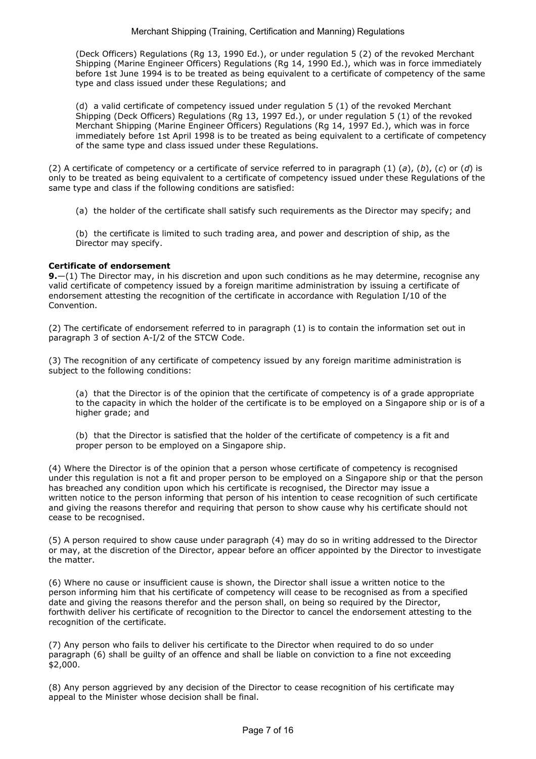(Deck Officers) Regulations (Rg 13, 1990 Ed.), or under regulation 5 (2) of the revoked Merchant Shipping (Marine Engineer Officers) Regulations (Rg 14, 1990 Ed.), which was in force immediately before 1st June 1994 is to be treated as being equivalent to a certificate of competency of the same type and class issued under these Regulations; and

(d) a valid certificate of competency issued under regulation 5 (1) of the revoked Merchant Shipping (Deck Officers) Regulations (Rg 13, 1997 Ed.), or under regulation 5 (1) of the revoked Merchant Shipping (Marine Engineer Officers) Regulations (Rg 14, 1997 Ed.), which was in force immediately before 1st April 1998 is to be treated as being equivalent to a certificate of competency of the same type and class issued under these Regulations.

(2) A certificate of competency or a certificate of service referred to in paragraph (1) (a), (b), (c) or (d) is only to be treated as being equivalent to a certificate of competency issued under these Regulations of the same type and class if the following conditions are satisfied:

(a) the holder of the certificate shall satisfy such requirements as the Director may specify; and

(b) the certificate is limited to such trading area, and power and description of ship, as the Director may specify.

### Certificate of endorsement

**9.**—(1) The Director may, in his discretion and upon such conditions as he may determine, recognise any valid certificate of competency issued by a foreign maritime administration by issuing a certificate of endorsement attesting the recognition of the certificate in accordance with Regulation I/10 of the Convention.

(2) The certificate of endorsement referred to in paragraph (1) is to contain the information set out in paragraph 3 of section A-I/2 of the STCW Code.

(3) The recognition of any certificate of competency issued by any foreign maritime administration is subject to the following conditions:

(a) that the Director is of the opinion that the certificate of competency is of a grade appropriate to the capacity in which the holder of the certificate is to be employed on a Singapore ship or is of a higher grade; and

(b) that the Director is satisfied that the holder of the certificate of competency is a fit and proper person to be employed on a Singapore ship.

(4) Where the Director is of the opinion that a person whose certificate of competency is recognised under this regulation is not a fit and proper person to be employed on a Singapore ship or that the person has breached any condition upon which his certificate is recognised, the Director may issue a written notice to the person informing that person of his intention to cease recognition of such certificate and giving the reasons therefor and requiring that person to show cause why his certificate should not cease to be recognised.

(5) A person required to show cause under paragraph (4) may do so in writing addressed to the Director or may, at the discretion of the Director, appear before an officer appointed by the Director to investigate the matter.

(6) Where no cause or insufficient cause is shown, the Director shall issue a written notice to the person informing him that his certificate of competency will cease to be recognised as from a specified date and giving the reasons therefor and the person shall, on being so required by the Director, forthwith deliver his certificate of recognition to the Director to cancel the endorsement attesting to the recognition of the certificate.

(7) Any person who fails to deliver his certificate to the Director when required to do so under paragraph (6) shall be guilty of an offence and shall be liable on conviction to a fine not exceeding \$2,000.

(8) Any person aggrieved by any decision of the Director to cease recognition of his certificate may appeal to the Minister whose decision shall be final.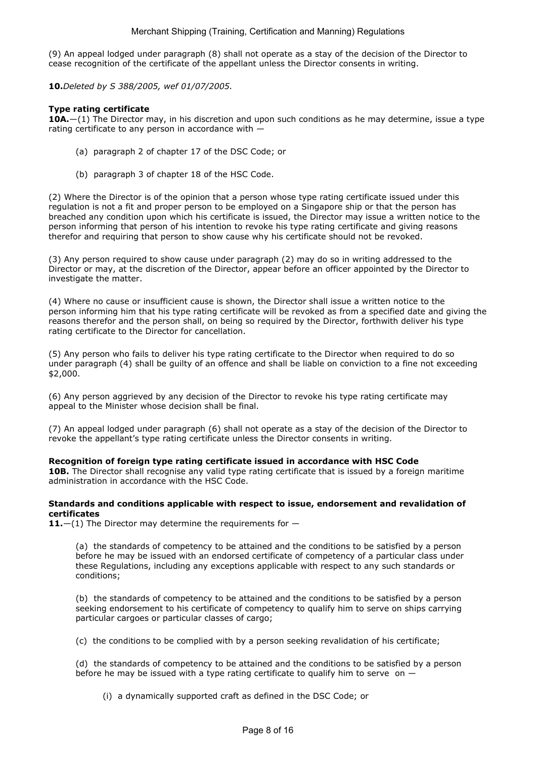(9) An appeal lodged under paragraph (8) shall not operate as a stay of the decision of the Director to cease recognition of the certificate of the appellant unless the Director consents in writing.

10.Deleted by S 388/2005, wef 01/07/2005.

### Type rating certificate

**10A.**—(1) The Director may, in his discretion and upon such conditions as he may determine, issue a type rating certificate to any person in accordance with —

- (a) paragraph 2 of chapter 17 of the DSC Code; or
- (b) paragraph 3 of chapter 18 of the HSC Code.

(2) Where the Director is of the opinion that a person whose type rating certificate issued under this regulation is not a fit and proper person to be employed on a Singapore ship or that the person has breached any condition upon which his certificate is issued, the Director may issue a written notice to the person informing that person of his intention to revoke his type rating certificate and giving reasons therefor and requiring that person to show cause why his certificate should not be revoked.

(3) Any person required to show cause under paragraph (2) may do so in writing addressed to the Director or may, at the discretion of the Director, appear before an officer appointed by the Director to investigate the matter.

(4) Where no cause or insufficient cause is shown, the Director shall issue a written notice to the person informing him that his type rating certificate will be revoked as from a specified date and giving the reasons therefor and the person shall, on being so required by the Director, forthwith deliver his type rating certificate to the Director for cancellation.

(5) Any person who fails to deliver his type rating certificate to the Director when required to do so under paragraph (4) shall be guilty of an offence and shall be liable on conviction to a fine not exceeding \$2,000.

(6) Any person aggrieved by any decision of the Director to revoke his type rating certificate may appeal to the Minister whose decision shall be final.

(7) An appeal lodged under paragraph (6) shall not operate as a stay of the decision of the Director to revoke the appellant's type rating certificate unless the Director consents in writing.

#### Recognition of foreign type rating certificate issued in accordance with HSC Code

10B. The Director shall recognise any valid type rating certificate that is issued by a foreign maritime administration in accordance with the HSC Code.

#### Standards and conditions applicable with respect to issue, endorsement and revalidation of certificates

11. $-(1)$  The Director may determine the requirements for  $-$ 

(a) the standards of competency to be attained and the conditions to be satisfied by a person before he may be issued with an endorsed certificate of competency of a particular class under these Regulations, including any exceptions applicable with respect to any such standards or conditions;

(b) the standards of competency to be attained and the conditions to be satisfied by a person seeking endorsement to his certificate of competency to qualify him to serve on ships carrying particular cargoes or particular classes of cargo;

(c) the conditions to be complied with by a person seeking revalidation of his certificate;

(d) the standards of competency to be attained and the conditions to be satisfied by a person before he may be issued with a type rating certificate to qualify him to serve on  $-$ 

(i) a dynamically supported craft as defined in the DSC Code; or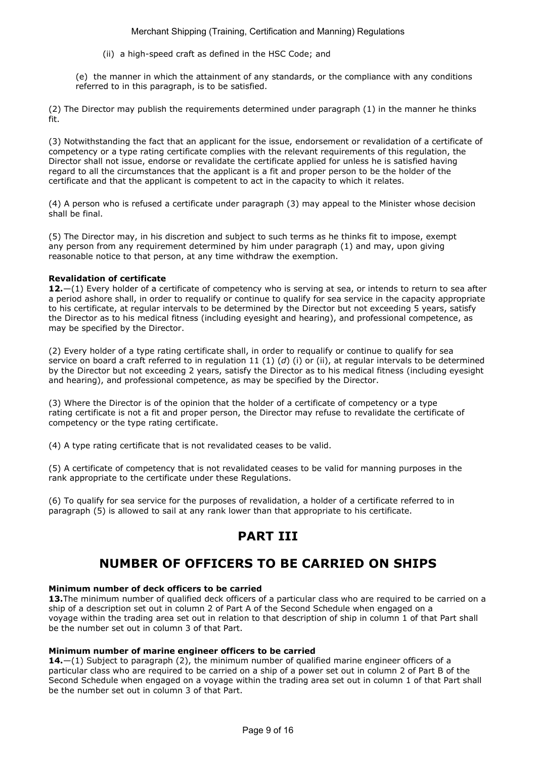(ii) a high-speed craft as defined in the HSC Code; and

(e) the manner in which the attainment of any standards, or the compliance with any conditions referred to in this paragraph, is to be satisfied.

(2) The Director may publish the requirements determined under paragraph (1) in the manner he thinks fit.

(3) Notwithstanding the fact that an applicant for the issue, endorsement or revalidation of a certificate of competency or a type rating certificate complies with the relevant requirements of this regulation, the Director shall not issue, endorse or revalidate the certificate applied for unless he is satisfied having regard to all the circumstances that the applicant is a fit and proper person to be the holder of the certificate and that the applicant is competent to act in the capacity to which it relates.

(4) A person who is refused a certificate under paragraph (3) may appeal to the Minister whose decision shall be final.

(5) The Director may, in his discretion and subject to such terms as he thinks fit to impose, exempt any person from any requirement determined by him under paragraph (1) and may, upon giving reasonable notice to that person, at any time withdraw the exemption.

#### Revalidation of certificate

12.—(1) Every holder of a certificate of competency who is serving at sea, or intends to return to sea after a period ashore shall, in order to requalify or continue to qualify for sea service in the capacity appropriate to his certificate, at regular intervals to be determined by the Director but not exceeding 5 years, satisfy the Director as to his medical fitness (including eyesight and hearing), and professional competence, as may be specified by the Director.

(2) Every holder of a type rating certificate shall, in order to requalify or continue to qualify for sea service on board a craft referred to in regulation 11 (1) (d) (i) or (ii), at regular intervals to be determined by the Director but not exceeding 2 years, satisfy the Director as to his medical fitness (including eyesight and hearing), and professional competence, as may be specified by the Director.

(3) Where the Director is of the opinion that the holder of a certificate of competency or a type rating certificate is not a fit and proper person, the Director may refuse to revalidate the certificate of competency or the type rating certificate.

(4) A type rating certificate that is not revalidated ceases to be valid.

(5) A certificate of competency that is not revalidated ceases to be valid for manning purposes in the rank appropriate to the certificate under these Regulations.

(6) To qualify for sea service for the purposes of revalidation, a holder of a certificate referred to in paragraph (5) is allowed to sail at any rank lower than that appropriate to his certificate.

# PART III

# NUMBER OF OFFICERS TO BE CARRIED ON SHIPS

#### Minimum number of deck officers to be carried

13. The minimum number of qualified deck officers of a particular class who are required to be carried on a ship of a description set out in column 2 of Part A of the Second Schedule when engaged on a voyage within the trading area set out in relation to that description of ship in column 1 of that Part shall be the number set out in column 3 of that Part.

#### Minimum number of marine engineer officers to be carried

**14.** $-(1)$  Subject to paragraph (2), the minimum number of qualified marine engineer officers of a particular class who are required to be carried on a ship of a power set out in column 2 of Part B of the Second Schedule when engaged on a voyage within the trading area set out in column 1 of that Part shall be the number set out in column 3 of that Part.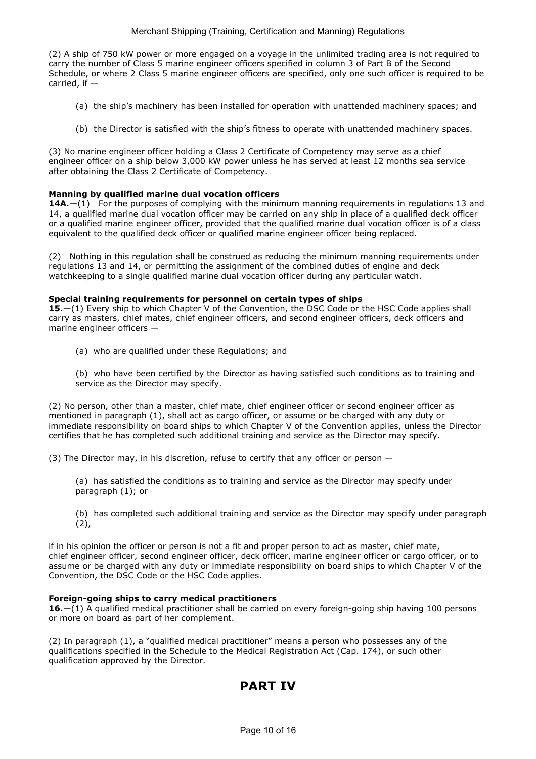(2) A ship of 750 kW power or more engaged on a voyage in the unlimited trading area is not required to carry the number of Class 5 marine engineer officers specified in column 3 of Part B of the Second Schedule, or where 2 Class 5 marine engineer officers are specified, only one such officer is required to be carried, if —

- (a) the ship's machinery has been installed for operation with unattended machinery spaces; and
- (b) the Director is satisfied with the ship's fitness to operate with unattended machinery spaces.

(3) No marine engineer officer holding a Class 2 Certificate of Competency may serve as a chief engineer officer on a ship below 3,000 kW power unless he has served at least 12 months sea service after obtaining the Class 2 Certificate of Competency.

#### Manning by qualified marine dual vocation officers

**14A.**—(1) For the purposes of complying with the minimum manning requirements in regulations 13 and 14, a qualified marine dual vocation officer may be carried on any ship in place of a qualified deck officer or a qualified marine engineer officer, provided that the qualified marine dual vocation officer is of a class equivalent to the qualified deck officer or qualified marine engineer officer being replaced.

(2) Nothing in this regulation shall be construed as reducing the minimum manning requirements under regulations 13 and 14, or permitting the assignment of the combined duties of engine and deck watchkeeping to a single qualified marine dual vocation officer during any particular watch.

#### Special training requirements for personnel on certain types of ships

15.—(1) Every ship to which Chapter V of the Convention, the DSC Code or the HSC Code applies shall carry as masters, chief mates, chief engineer officers, and second engineer officers, deck officers and marine engineer officers —

- (a) who are qualified under these Regulations; and
- (b) who have been certified by the Director as having satisfied such conditions as to training and service as the Director may specify.

(2) No person, other than a master, chief mate, chief engineer officer or second engineer officer as mentioned in paragraph (1), shall act as cargo officer, or assume or be charged with any duty or immediate responsibility on board ships to which Chapter V of the Convention applies, unless the Director certifies that he has completed such additional training and service as the Director may specify.

(3) The Director may, in his discretion, refuse to certify that any officer or person  $-$ 

(a) has satisfied the conditions as to training and service as the Director may specify under paragraph (1); or

(b) has completed such additional training and service as the Director may specify under paragraph  $(2)$ ,

if in his opinion the officer or person is not a fit and proper person to act as master, chief mate, chief engineer officer, second engineer officer, deck officer, marine engineer officer or cargo officer, or to assume or be charged with any duty or immediate responsibility on board ships to which Chapter V of the Convention, the DSC Code or the HSC Code applies.

#### Foreign-going ships to carry medical practitioners

16.—(1) A qualified medical practitioner shall be carried on every foreign-going ship having 100 persons or more on board as part of her complement.

(2) In paragraph (1), a "qualified medical practitioner" means a person who possesses any of the qualifications specified in the Schedule to the Medical Registration Act (Cap. 174), or such other qualification approved by the Director.

# PART IV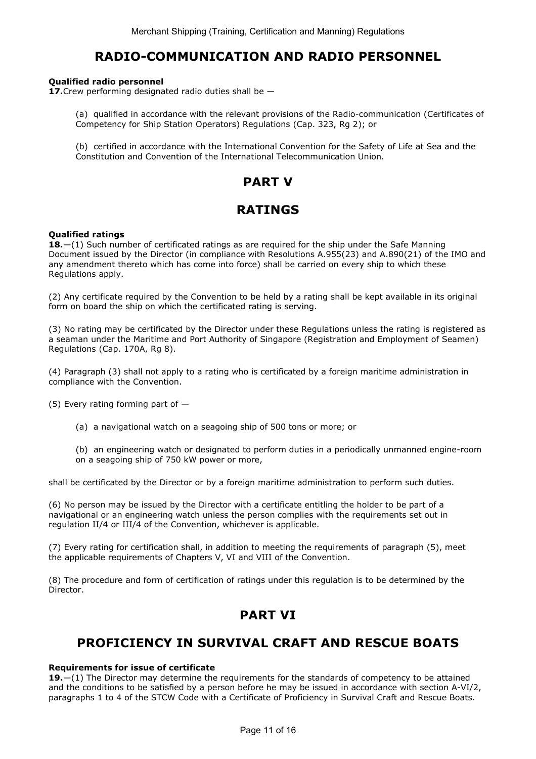## RADIO-COMMUNICATION AND RADIO PERSONNEL

#### Qualified radio personnel

17. Crew performing designated radio duties shall be  $-$ 

- (a) qualified in accordance with the relevant provisions of the Radio-communication (Certificates of Competency for Ship Station Operators) Regulations (Cap. 323, Rg 2); or
- (b) certified in accordance with the International Convention for the Safety of Life at Sea and the Constitution and Convention of the International Telecommunication Union.

# PART V

# RATINGS

#### Qualified ratings

18.—(1) Such number of certificated ratings as are required for the ship under the Safe Manning Document issued by the Director (in compliance with Resolutions A.955(23) and A.890(21) of the IMO and any amendment thereto which has come into force) shall be carried on every ship to which these Regulations apply.

(2) Any certificate required by the Convention to be held by a rating shall be kept available in its original form on board the ship on which the certificated rating is serving.

(3) No rating may be certificated by the Director under these Regulations unless the rating is registered as a seaman under the Maritime and Port Authority of Singapore (Registration and Employment of Seamen) Regulations (Cap. 170A, Rg 8).

(4) Paragraph (3) shall not apply to a rating who is certificated by a foreign maritime administration in compliance with the Convention.

(5) Every rating forming part of  $-$ 

(a) a navigational watch on a seagoing ship of 500 tons or more; or

(b) an engineering watch or designated to perform duties in a periodically unmanned engine-room on a seagoing ship of 750 kW power or more,

shall be certificated by the Director or by a foreign maritime administration to perform such duties.

(6) No person may be issued by the Director with a certificate entitling the holder to be part of a navigational or an engineering watch unless the person complies with the requirements set out in regulation II/4 or III/4 of the Convention, whichever is applicable.

(7) Every rating for certification shall, in addition to meeting the requirements of paragraph (5), meet the applicable requirements of Chapters V, VI and VIII of the Convention.

(8) The procedure and form of certification of ratings under this regulation is to be determined by the Director.

# PART VI

# PROFICIENCY IN SURVIVAL CRAFT AND RESCUE BOATS

#### Requirements for issue of certificate

19. $-(1)$  The Director may determine the requirements for the standards of competency to be attained and the conditions to be satisfied by a person before he may be issued in accordance with section A-VI/2, paragraphs 1 to 4 of the STCW Code with a Certificate of Proficiency in Survival Craft and Rescue Boats.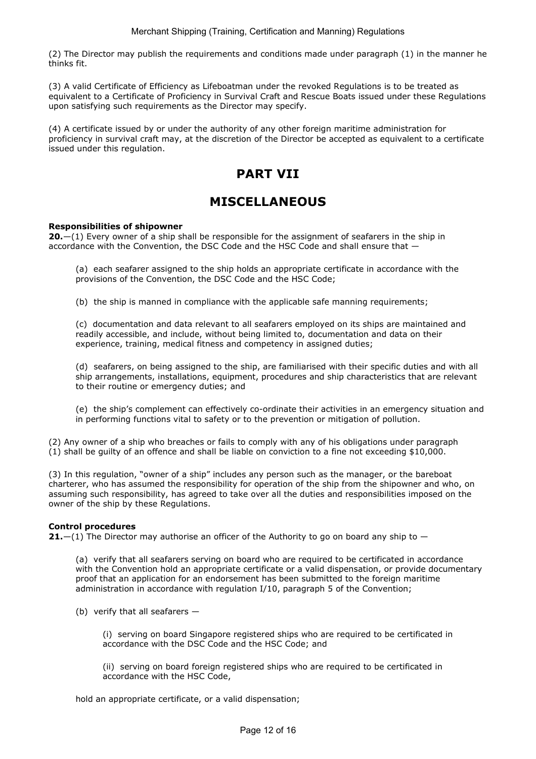(2) The Director may publish the requirements and conditions made under paragraph (1) in the manner he thinks fit.

(3) A valid Certificate of Efficiency as Lifeboatman under the revoked Regulations is to be treated as equivalent to a Certificate of Proficiency in Survival Craft and Rescue Boats issued under these Regulations upon satisfying such requirements as the Director may specify.

(4) A certificate issued by or under the authority of any other foreign maritime administration for proficiency in survival craft may, at the discretion of the Director be accepted as equivalent to a certificate issued under this regulation.

# PART VII

# MISCELLANEOUS

### Responsibilities of shipowner

 $20-(1)$  Every owner of a ship shall be responsible for the assignment of seafarers in the ship in accordance with the Convention, the DSC Code and the HSC Code and shall ensure that —

(a) each seafarer assigned to the ship holds an appropriate certificate in accordance with the provisions of the Convention, the DSC Code and the HSC Code;

(b) the ship is manned in compliance with the applicable safe manning requirements;

(c) documentation and data relevant to all seafarers employed on its ships are maintained and readily accessible, and include, without being limited to, documentation and data on their experience, training, medical fitness and competency in assigned duties;

(d) seafarers, on being assigned to the ship, are familiarised with their specific duties and with all ship arrangements, installations, equipment, procedures and ship characteristics that are relevant to their routine or emergency duties; and

(e) the ship's complement can effectively co-ordinate their activities in an emergency situation and in performing functions vital to safety or to the prevention or mitigation of pollution.

(2) Any owner of a ship who breaches or fails to comply with any of his obligations under paragraph (1) shall be guilty of an offence and shall be liable on conviction to a fine not exceeding \$10,000.

(3) In this regulation, "owner of a ship" includes any person such as the manager, or the bareboat charterer, who has assumed the responsibility for operation of the ship from the shipowner and who, on assuming such responsibility, has agreed to take over all the duties and responsibilities imposed on the owner of the ship by these Regulations.

#### Control procedures

**21.**  $-(1)$  The Director may authorise an officer of the Authority to go on board any ship to  $-$ 

(a) verify that all seafarers serving on board who are required to be certificated in accordance with the Convention hold an appropriate certificate or a valid dispensation, or provide documentary proof that an application for an endorsement has been submitted to the foreign maritime administration in accordance with regulation I/10, paragraph 5 of the Convention;

(b) verify that all seafarers  $-$ 

(i) serving on board Singapore registered ships who are required to be certificated in accordance with the DSC Code and the HSC Code; and

(ii) serving on board foreign registered ships who are required to be certificated in accordance with the HSC Code,

hold an appropriate certificate, or a valid dispensation;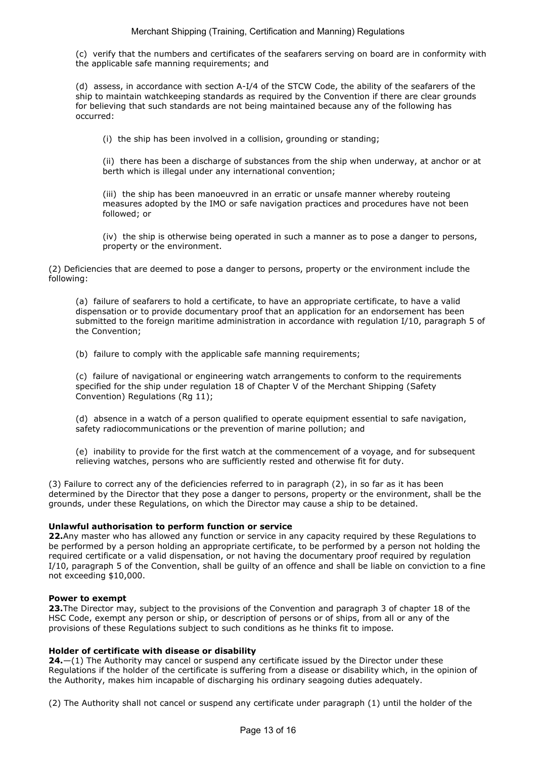(c) verify that the numbers and certificates of the seafarers serving on board are in conformity with the applicable safe manning requirements; and

(d) assess, in accordance with section A-I/4 of the STCW Code, the ability of the seafarers of the ship to maintain watchkeeping standards as required by the Convention if there are clear grounds for believing that such standards are not being maintained because any of the following has occurred:

(i) the ship has been involved in a collision, grounding or standing;

(ii) there has been a discharge of substances from the ship when underway, at anchor or at berth which is illegal under any international convention;

(iii) the ship has been manoeuvred in an erratic or unsafe manner whereby routeing measures adopted by the IMO or safe navigation practices and procedures have not been followed; or

(iv) the ship is otherwise being operated in such a manner as to pose a danger to persons, property or the environment.

(2) Deficiencies that are deemed to pose a danger to persons, property or the environment include the following:

(a) failure of seafarers to hold a certificate, to have an appropriate certificate, to have a valid dispensation or to provide documentary proof that an application for an endorsement has been submitted to the foreign maritime administration in accordance with regulation I/10, paragraph 5 of the Convention;

(b) failure to comply with the applicable safe manning requirements;

(c) failure of navigational or engineering watch arrangements to conform to the requirements specified for the ship under regulation 18 of Chapter V of the Merchant Shipping (Safety Convention) Regulations (Rg 11);

(d) absence in a watch of a person qualified to operate equipment essential to safe navigation, safety radiocommunications or the prevention of marine pollution; and

(e) inability to provide for the first watch at the commencement of a voyage, and for subsequent relieving watches, persons who are sufficiently rested and otherwise fit for duty.

(3) Failure to correct any of the deficiencies referred to in paragraph (2), in so far as it has been determined by the Director that they pose a danger to persons, property or the environment, shall be the grounds, under these Regulations, on which the Director may cause a ship to be detained.

#### Unlawful authorisation to perform function or service

22.Any master who has allowed any function or service in any capacity required by these Regulations to be performed by a person holding an appropriate certificate, to be performed by a person not holding the required certificate or a valid dispensation, or not having the documentary proof required by regulation I/10, paragraph 5 of the Convention, shall be guilty of an offence and shall be liable on conviction to a fine not exceeding \$10,000.

#### Power to exempt

23. The Director may, subject to the provisions of the Convention and paragraph 3 of chapter 18 of the HSC Code, exempt any person or ship, or description of persons or of ships, from all or any of the provisions of these Regulations subject to such conditions as he thinks fit to impose.

#### Holder of certificate with disease or disability

 $24$ - $(1)$  The Authority may cancel or suspend any certificate issued by the Director under these Regulations if the holder of the certificate is suffering from a disease or disability which, in the opinion of the Authority, makes him incapable of discharging his ordinary seagoing duties adequately.

(2) The Authority shall not cancel or suspend any certificate under paragraph (1) until the holder of the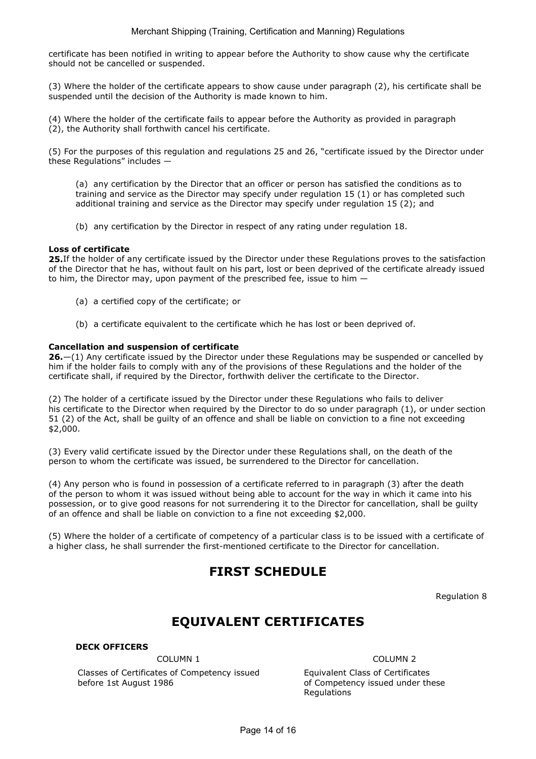certificate has been notified in writing to appear before the Authority to show cause why the certificate should not be cancelled or suspended.

(3) Where the holder of the certificate appears to show cause under paragraph (2), his certificate shall be suspended until the decision of the Authority is made known to him.

(4) Where the holder of the certificate fails to appear before the Authority as provided in paragraph (2), the Authority shall forthwith cancel his certificate.

(5) For the purposes of this regulation and regulations 25 and 26, "certificate issued by the Director under these Regulations" includes —

(a) any certification by the Director that an officer or person has satisfied the conditions as to training and service as the Director may specify under regulation 15 (1) or has completed such additional training and service as the Director may specify under regulation 15 (2); and

(b) any certification by the Director in respect of any rating under regulation 18.

#### Loss of certificate

25.If the holder of any certificate issued by the Director under these Regulations proves to the satisfaction of the Director that he has, without fault on his part, lost or been deprived of the certificate already issued to him, the Director may, upon payment of the prescribed fee, issue to him —

- (a) a certified copy of the certificate; or
- (b) a certificate equivalent to the certificate which he has lost or been deprived of.

#### Cancellation and suspension of certificate

26.—(1) Any certificate issued by the Director under these Regulations may be suspended or cancelled by him if the holder fails to comply with any of the provisions of these Regulations and the holder of the certificate shall, if required by the Director, forthwith deliver the certificate to the Director.

(2) The holder of a certificate issued by the Director under these Regulations who fails to deliver his certificate to the Director when required by the Director to do so under paragraph (1), or under section 51 (2) of the Act, shall be guilty of an offence and shall be liable on conviction to a fine not exceeding \$2,000.

(3) Every valid certificate issued by the Director under these Regulations shall, on the death of the person to whom the certificate was issued, be surrendered to the Director for cancellation.

(4) Any person who is found in possession of a certificate referred to in paragraph (3) after the death of the person to whom it was issued without being able to account for the way in which it came into his possession, or to give good reasons for not surrendering it to the Director for cancellation, shall be guilty of an offence and shall be liable on conviction to a fine not exceeding \$2,000.

(5) Where the holder of a certificate of competency of a particular class is to be issued with a certificate of a higher class, he shall surrender the first-mentioned certificate to the Director for cancellation.

# FIRST SCHEDULE

Regulation 8

# EQUIVALENT CERTIFICATES

DECK OFFICERS

COLUMN 1 COLUMN 2

Classes of Certificates of Competency issued before 1st August 1986

 Equivalent Class of Certificates of Competency issued under these Regulations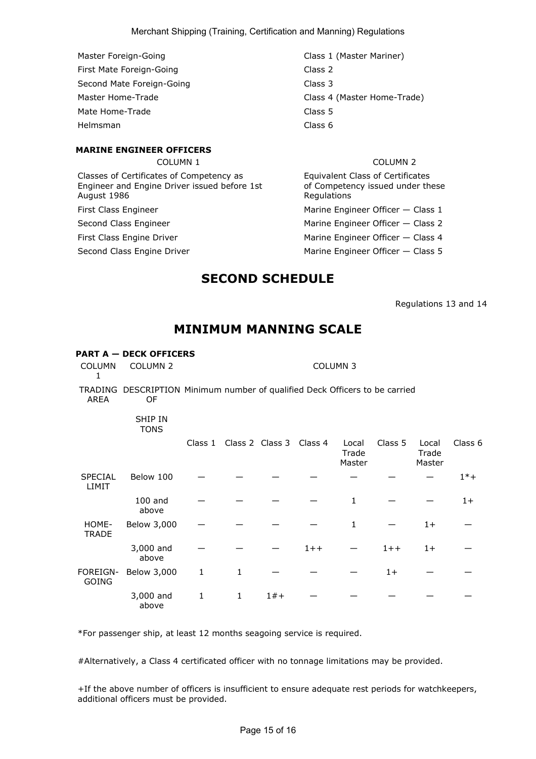- Master Foreign-Going Class 1 (Master Mariner) First Mate Foreign-Going Class 2 Second Mate Foreign-Going Class 3 Mate Home-Trade **Class 5** Helmsman Class 6
- Master Home-Trade **Class 4 (Master Home-Trade**)

#### MARINE ENGINEER OFFICERS

Classes of Certificates of Competency as Engineer and Engine Driver issued before 1st August 1986

### COLUMN 1 COLUMN 2

 Equivalent Class of Certificates of Competency issued under these **Regulations** First Class Engineer **Marine Engineer Officer — Class 1** 

Second Class Engineer Marine Engineer Officer — Class 2

First Class Engine Driver **Marine Engineer Officer — Class 4** Marine Engineer Officer — Class 4

Second Class Engine Driver Marine Engineer Officer — Class 5

COLUMN 2 COLUMN 3

## SECOND SCHEDULE

Regulations 13 and 14

## MINIMUM MANNING SCALE

### PART A — DECK OFFICERS

COLUMN COLUMN 2 1

TRADING DESCRIPTION Minimum number of qualified Deck Officers to be carried AREA OF

#### SHIP IN TONS

|                                |                    | Class 1 |   | Class 2 Class 3 Class 4 |         | Local<br>Trade<br>Master | Class 5 | Local<br>Trade<br>Master | Class 6 |
|--------------------------------|--------------------|---------|---|-------------------------|---------|--------------------------|---------|--------------------------|---------|
| <b>SPECIAL</b><br><b>LIMIT</b> | Below 100          |         |   |                         |         |                          |         |                          | $1* +$  |
|                                | $100$ and<br>above |         |   |                         |         | 1                        |         |                          | $1+$    |
| HOME-<br><b>TRADE</b>          | Below 3,000        |         |   |                         |         | 1                        |         | $1+$                     |         |
|                                | 3,000 and<br>above |         |   |                         | $1 + +$ |                          | $1 + +$ | $1+$                     |         |
| FOREIGN-<br><b>GOING</b>       | Below 3,000        | 1       | 1 |                         |         |                          | $1+$    |                          |         |
|                                | 3,000 and<br>above | 1       | 1 | $1#+$                   |         |                          |         |                          |         |

\*For passenger ship, at least 12 months seagoing service is required.

#Alternatively, a Class 4 certificated officer with no tonnage limitations may be provided.

+If the above number of officers is insufficient to ensure adequate rest periods for watchkeepers, additional officers must be provided.